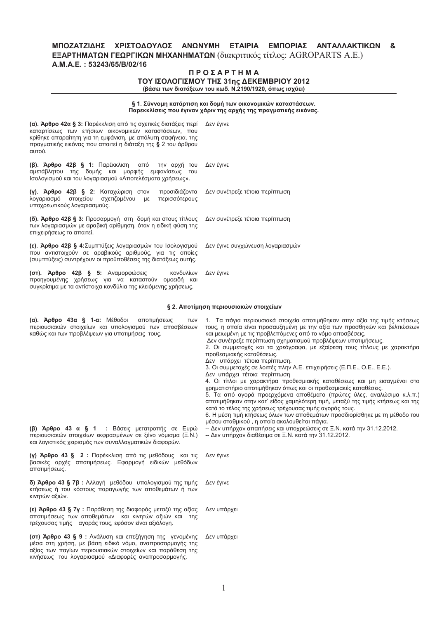# ΜΠΟΖΑΤΖΙΔΗΣ ΧΡΙΣΤΟΔΟΥΛΟΣ ΑΝΩΝΥΜΗ ΕΤΑΙΡΙΑ ΕΜΠΟΡΙΑΣ ΑΝΤΑΛΛΑΚΤΙΚΩΝ & **ΕΞΑΡΤΗΜΑΤΩΝ ΓΕΩΡΓΙΚΩΝ ΜΗΧΑΝΗΜΑΤΩΝ** (διακριτικός τίτλος: AGROPARTS A.E.) A.M.A.E.: 53243/65/B/02/16

## **ΠΡΟΣΑΡΤΗΜΑ** ΤΟΥ ΙΣΟΛΟΓΙΣΜΟΥ ΤΗΣ 31ης ΔΕΚΕΜΒΡΙΟΥ 2012 (βάσει των διατάξεων του κωδ. Ν.2190/1920, όπως ισχύει)

| § 1. Σύννομη κατάρτιση και δομή των οικονομικών καταστάσεων.<br>Παρεκκλίσεις που έγιναν χάριν της αρχής της πραγματικής εικόνας.                                                                                                                                 |                                  |  |  |  |  |  |  |  |  |
|------------------------------------------------------------------------------------------------------------------------------------------------------------------------------------------------------------------------------------------------------------------|----------------------------------|--|--|--|--|--|--|--|--|
| (α). Άρθρο 42α § 3: Παρέκκλιση από τις σχετικές διατάξεις περί<br>καταρτίσεως των ετήσιων οικονομικών καταστάσεων, που<br>κρίθηκε απαραίτητη για τη εμφάνιση, με απόλυτη σαφήνεια, της<br>πραγματικής εικόνας που απαιτεί η διάταξη της § 2 του άρθρου<br>αυτού. | Δεν έγινε                        |  |  |  |  |  |  |  |  |
| (β). Άρθρο 42β § 1: Παρέκκλιση από την αρχή του<br>αμετάβλητου της δομής και μορφής εμφανίσεως του<br>Ισολογισμού και του λογαριασμού «Αποτελέσματα χρήσεως».                                                                                                    | Δεν έγινε                        |  |  |  |  |  |  |  |  |
| (γ). Άρθρο 42β § 2: Καταχώριση στον<br>προσιδιάζοντα<br>λογαριασμό στοιχείου<br>σχετιζομένου με<br>περισσότερους<br>υποχρεωτικούς λογαριασμούς.                                                                                                                  | Δεν συνέτρεξε τέτοια περίπτωση   |  |  |  |  |  |  |  |  |
| (δ). Άρθρο 42β § 3: Προσαρμογή στη δομή και στους τίτλους<br>των λογαριασμών με αραβική αρίθμηση, όταν η ειδική φύση της<br>επιχειρήσεως το απαιτεί.                                                                                                             | Δεν συνέτρεξε τέτοια περίπτωση   |  |  |  |  |  |  |  |  |
| (ε). Άρθρο 42β § 4: Συμπτύξεις λογαριασμών του Ισολογισμού<br>που αντιστοιχούν σε αραβικούς αριθμούς, για τις οποίες<br>(συμπτύξεις) συντρέχουν οι προϋποθέσεις της διατάξεως αυτής.                                                                             | Δεν έγινε συγχώνευση λογαριασμών |  |  |  |  |  |  |  |  |
| (στ). Άρθρο 42β § 5: Αναμορφώσεις<br>κονδυλίων<br>προηγουμένης χρήσεως για να καταστούν ομοειδή και<br>συγκρίσιμα με τα αντίστοιχα κονδύλια της κλειόμενης χρήσεως.                                                                                              | Δεν έγινε                        |  |  |  |  |  |  |  |  |

## § 2. Αποτίμηση περιουσιακών στοιχείων

| (α). Άρθρο 43α § 1-α: Μέθοδοι αποτιμήσεως<br>TWV<br>περιουσιακών στοιχείων και υπολογισμού των αποσβέσεων<br>καθώς και των προβλέψεων για υποτιμήσεις τους.<br>(β) Άρθρο 43 α § 1 : Βάσεις μετατροπής σε Ευρώ<br>περιουσιακών στοιχείων εκφρασμένων σε ξένο νόμισμα (Ξ.Ν.)<br>και λογιστικός χειρισμός των συναλλαγματικών διαφορών. | 1. Τα πάγια περιουσιακά στοιχεία αποτιμήθηκαν στην αξία της τιμής κτήσεως<br>τους, η οποία είναι προσαυξημένη με την αξία των προσθηκών και βελτιώσεων<br>και μειωμένη με τις προβλεπόμενες από το νόμο αποσβέσεις.<br>Δεν συνέτρεξε περίπτωση σχηματισμού προβλέψεων υποτιμήσεως.<br>2. Οι συμμετοχές και τα χρεόγραφα, με εξαίρεση τους τίτλους με χαρακτήρα<br>προθεσμιακής καταθέσεως.<br>Δεν υπάρχει τέτοια περίπτωση.<br>3. Οι συμμετοχές σε λοιπές πλην Α.Ε. επιχειρήσεις (Ε.Π.Ε., Ο.Ε., Ε.Ε.).<br>Δεν υπάρχει τέτοια περίπτωση<br>4. Οι τίτλοι με χαρακτήρα προθεσμιακής καταθέσεως και μη εισαγμένοι στο<br>χρηματιστήριο αποτιμήθηκαν όπως και οι προθεσμιακές καταθέσεις.<br>5. Τα από αγορά προερχόμενα αποθέματα (πρώτες ύλες, αναλώσιμα κ.λ.π.)<br>αποτιμήθηκαν στην κατ' είδος χαμηλότερη τιμή, μεταξύ της τιμής κτήσεως και της<br>κατά το τέλος της χρήσεως τρέχουσας τιμής αγοράς τους.<br>6. Η μέση τιμή κτήσεως όλων των αποθεμάτων προσδιορίσθηκε με τη μέθοδο του<br>μέσου σταθμικού, η οποία ακολουθείται πάγια.<br>-- Δεν υπήρχαν απαιτήσεις και υποχρεώσεις σε Ξ.Ν. κατά την 31.12.2012.<br>-- Δεν υπήρχαν διαθέσιμα σε Ξ.Ν. κατά την 31.12.2012. |
|--------------------------------------------------------------------------------------------------------------------------------------------------------------------------------------------------------------------------------------------------------------------------------------------------------------------------------------|----------------------------------------------------------------------------------------------------------------------------------------------------------------------------------------------------------------------------------------------------------------------------------------------------------------------------------------------------------------------------------------------------------------------------------------------------------------------------------------------------------------------------------------------------------------------------------------------------------------------------------------------------------------------------------------------------------------------------------------------------------------------------------------------------------------------------------------------------------------------------------------------------------------------------------------------------------------------------------------------------------------------------------------------------------------------------------------------------------------------------------------------------------------------------|
| (γ) Άρθρο 43 § 2 : Παρέκκλιση από τις μεθόδους και τις<br>βασικές αρχές αποτιμήσεως. Εφαρμογή ειδικών μεθόδων<br>αποτιμήσεως.                                                                                                                                                                                                        | Δεν έγινε                                                                                                                                                                                                                                                                                                                                                                                                                                                                                                                                                                                                                                                                                                                                                                                                                                                                                                                                                                                                                                                                                                                                                                  |
| δ) Άρθρο 43 § 7β : Αλλαγή μεθόδου υπολογισμού της τιμής<br>κτήσεως ή του κόστους παραγωγής των αποθεμάτων ή των<br>κινητών αξιών.                                                                                                                                                                                                    | Δεν έγινε                                                                                                                                                                                                                                                                                                                                                                                                                                                                                                                                                                                                                                                                                                                                                                                                                                                                                                                                                                                                                                                                                                                                                                  |
| (ε) Άρθρο 43 § 7γ : Παράθεση της διαφοράς μεταξύ της αξίας<br>αποτιμήσεως των αποθεμάτων και κινητών αξιών και της<br>τρέχουσας τιμής αγοράς τους, εφόσον είναι αξιόλογη.                                                                                                                                                            | Δεν υπάρχει                                                                                                                                                                                                                                                                                                                                                                                                                                                                                                                                                                                                                                                                                                                                                                                                                                                                                                                                                                                                                                                                                                                                                                |
| (στ) Άρθρο 43 § 9 : Ανάλυση και επεξήγηση της γενομένης<br>μέσα στη χρήση, με βάση ειδικό νόμο, αναπροσαρμογής της<br>αξίας των παγίων περιουσιακών στοιχείων και παράθεση της<br>κινήσεως του λογαριασμού «Διαφορές αναπροσαρμογής.                                                                                                 | Δεν υπάρχει                                                                                                                                                                                                                                                                                                                                                                                                                                                                                                                                                                                                                                                                                                                                                                                                                                                                                                                                                                                                                                                                                                                                                                |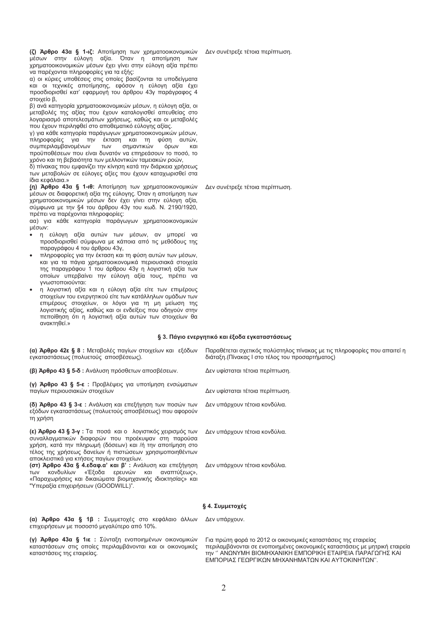(ζ) Άρθρο 43α § 1-ιζ: Αποτίμηση των χρηματοοικονομικών μέσων στην εύλογη αξία. Όταν η αποτίμηση των χρηματοοικονομικών μέσων έχει γίνει στην εύλογη αξία πρέπει να παρέχονται πληροφορίες για τα εξής:

α) οι κύριες υποθέσεις στις οποίες βασίζονται τα υποδείγματα και οι τεχνικές αποτίμησης, εφόσον η εύλογη αξία έχει προσδιορισθεί κατ' εφαρμογή του άρθρου 43γ παράγραφος 4 στοιχείο β,

β) ανά κατηγορία χρηματοοικονομικών μέσων, η εύλογη αξία, οι μεταβολές της αξίας που έχουν καταλογισθεί απευθείας στο λογαριασμό αποτελεσμάτων χρήσεως, καθώς και οι μεταβολές που έχουν περιληφθεί στο αποθεματικό εύλογης αξίας.

γ) για κάθε κατηγορία παράγωγων χρηματοοικονομικών μέσων, πληροφορίες για την έκταση και τη φύση αυτών, συμπεριλαμβανομένων σημαντικών όρων Tων προϋποθέσεων που είναι δυνατόν να επηρεάσουν το ποσό, το χρόνο και τη βεβαιότητα των μελλοντικών ταμειακών ροών,

δ) πίνακας που εμφανίζει την κίνηση κατά την διάρκεια χρήσεως των μεταβολών σε εύλογες αξίες που έχουν καταχωρίσθεί στα ίδια κεφάλαια.»

(η) Άρθρο 43α § 1-ιθ: Αποτίμηση των χρηματοοικονομικών μέσων σε διαφορετική αξία της εύλογης. Όταν η αποτίμηση των χρηματοοικονομικών μέσων δεν έχει γίνει στην εύλογη αξία, σύμφωνα με την §4 του άρθρου 43γ του κωδ. Ν. 2190/1920, πρέπει να παρέχονται πληροφορίες:

αα) για κάθε κατηγορία παράγωγων χρηματοοικονομικών μέσων:

- η εύλογη αξία αυτών των μέσων, αν μπορεί να προσδιορισθεί σύμφωνα με κάποια από τις μεθόδους της παραγράφου 4 του άρθρου 43γ.
- πληροφορίες για την έκταση και τη φύση αυτών των μέσων, και για τα πάγια χρηματοοικονομικά περιουσιακά στοιχεία της παραγράφου 1 του άρθρου 43γ η λογιστική αξία των οποίων υπερβαίνει την εύλογη αξία τους, πρέπει να ννωστοποιούνται:
- η λογιστική αξία και η εύλογη αξία είτε των επιμέρους στοιχείων του ενεργητικού είτε των κατάλληλων ομάδων των επιμέρους στοιχείων, οι λόγοι για τη μη μείωση της λογιστικής αξίας, καθώς και οι ενδείξεις που οδηγούν στην<br>λογιστικής αξίας, καθώς και οι ενδείξεις που οδηγούν στην<br>πεποίθηση ότι η λογιστική αξία αυτών των στοιχείων θα ανακτηθεί.»

#### § 3. Πάγιο ενεργητικό και έξοδα εγκαταστάσεως

(α) Άρθρο 42ε § 8 : Μεταβολές παγίων στοιχείων και εξόδων Παραθέτεται σχετικός πολύστηλος πίνακας με τις πληροφορίες που απαιτεί η εγκαταστάσεως (πολυετούς αποσβέσεως). διάταξη (Πίνακας Ι στο τέλος του προσαρτήματος)

(β) Άρθρο 43 § 5-δ: Ανάλυση πρόσθετων αποσβέσεων.

(γ) Άρθρο 43 § 5-ε : Προβλέψεις για υποτίμηση ενσώματων πανίων περιουσιακών στοιχείων

(δ) Άρθρο 43 § 3-ε: Ανάλυση και επεξήγηση των ποσών των εξόδων εγκαταστάσεως (πολυετούς αποσβέσεως) που αφορούν τη χρήση

(ε) Άρθρο 43 § 3-γ : Τα ποσά και ο λογιστικός χειρισμός των συναλλαγματικών διαφορών που προέκυψαν στη παρούσα χρήση, κατά την πληρωμή (δόσεων) και /ή την αποτίμηση στο τέλος της χρήσεως δανείων ή πιστώσεων χρησιμοποιηθέντων αποκλειστικά για κτήσεις παγίων στοιχείων.

(στ) Άρθρο 43α § 4.εδαφ.α' και β': Ανάλυση και επεξήγηση κονδυλίων «Έξοδα ερευνών και αναπτύξεως».  $T(1)V$ «Παραχωρήσεις και δικαιώματα βιομηχανικής ιδιοκτησίας» και "Υπεραξία επιχειρήσεων (GOODWILL)".

Δεν υπάρχουν τέτοια κονδύλια.

Δεν υφίσταται τέτοια περίπτωση.

Δεν υφίσταται τέτοια περίπτωση.

Δεν υπάρχουν τέτοια κονδύλια.

Δεν υπάρχουν τέτοια κονδύλια.

#### § 4. Συμμετοχές

(α) Άρθρο 43α § 1β : Συμμετοχές στο κεφάλαιο άλλων Δεν υπάρχουν. επιχειρήσεων με ποσοστό μεγαλύτερο από 10%.

(γ) Άρθρο 43α § 1ιε : Σύνταξη ενοποιημένων οικονομικών καταστάσεων στις οποίες περιλαμβάνονται και οι οικονομικές καταστάσεις της εταιρείας.

Για πρώτη φορά το 2012 οι οικονομικές καταστάσεις της εταιρείας περιλαμβάνονται σε ενοποιημένες οικονομικές καταστάσεις με μητρική εταιρεία την " ΑΝΩΝΥΜΗ ΒΙΟΜΗΧΑΝΙΚΗ ΕΜΠΟΡΙΚΗ ΕΤΑΙΡΕΙΑ ΠΑΡΑΓΩΓΗΣ ΚΑΙ ΕΜΠΟΡΙΑΣ ΓΕΩΡΓΙΚΩΝ ΜΗΧΑΝΗΜΑΤΩΝ ΚΑΙ ΑΥΤΟΚΙΝΗΤΩΝ".

Δεν συνέτρεξε τέτοια περίπτωση.

Δεν συνέτρεξε τέτοια περίπτωση.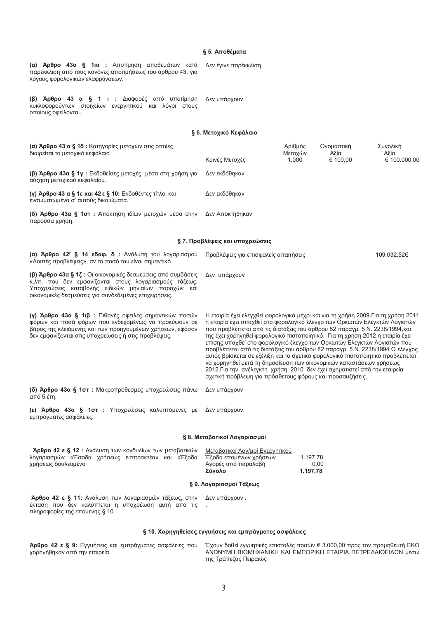#### § 5. Αποθέματα

(α) Άρθρο 43α § 1ια : Αποτίμηση αποθεμάτων κατά Δεν έγινε παρέκκλιση παρέκκλιση από τους κανόνες αποτιμήσεως του άρθρου 43, για λόγους φορολογικών ελαφρύνσεων.

(β) Άρθρο 43 α § 1 ι : Διαφορές από υποτίμηση<br>κυκλοφορούντων στοιχείων ενεργητικού και λόγοι στους<br>οποίουςοφείλονται. Δεν υπάρχουν

## § 6. Μετοχικό Κεφάλαιο

| (α) Άρθρο 43 α § 1δ : Κατηγορίες μετοχών στις οποίες<br>διαιρείται το μετοχικό κεφάλαιο                                                                                                                                              | Κοινές Μετοχές                                                                                                                                                                                                                                                                                                                                                                                                                                                                                                                                                                                                                                                                                                                                                                            | Αριθμός<br>Μετοχών<br>1.000 | Ονομαστική<br>Συνολική<br>Αξία<br>Αξία<br>€ 100,00<br>€ 100.000,00 |  |  |  |  |  |  |
|--------------------------------------------------------------------------------------------------------------------------------------------------------------------------------------------------------------------------------------|-------------------------------------------------------------------------------------------------------------------------------------------------------------------------------------------------------------------------------------------------------------------------------------------------------------------------------------------------------------------------------------------------------------------------------------------------------------------------------------------------------------------------------------------------------------------------------------------------------------------------------------------------------------------------------------------------------------------------------------------------------------------------------------------|-----------------------------|--------------------------------------------------------------------|--|--|--|--|--|--|
| (β) Άρθρο 43α § 1γ : Εκδοθείσες μετοχές μέσα στη χρήση για<br>αύξηση μετοχικού κεφαλαίου.                                                                                                                                            | Δεν εκδόθηκαν                                                                                                                                                                                                                                                                                                                                                                                                                                                                                                                                                                                                                                                                                                                                                                             |                             |                                                                    |  |  |  |  |  |  |
| (γ) Άρθρο 43 α § 1ε και 42 ε § 10: Εκδοθέντες τίτλοι και<br>ενσωματωμένα σ' αυτούς δικαιώματα.                                                                                                                                       | Δεν εκδόθηκαν                                                                                                                                                                                                                                                                                                                                                                                                                                                                                                                                                                                                                                                                                                                                                                             |                             |                                                                    |  |  |  |  |  |  |
| (δ) Άρθρο 43α § 1στ: Απόκτηση ιδίων μετοχών μέσα στην<br>παρούσα χρήση.                                                                                                                                                              | Δεν Αποκτήθηκαν                                                                                                                                                                                                                                                                                                                                                                                                                                                                                                                                                                                                                                                                                                                                                                           |                             |                                                                    |  |  |  |  |  |  |
|                                                                                                                                                                                                                                      | § 7. Προβλέψεις και υποχρεώσεις                                                                                                                                                                                                                                                                                                                                                                                                                                                                                                                                                                                                                                                                                                                                                           |                             |                                                                    |  |  |  |  |  |  |
| (α) Άρθρο 42 <sup>ε</sup> § 14 εδαφ. δ : Ανάλυση του λογαριασμού<br>«Λοιπές προβλέψεις», αν το ποσό του είναι σημαντικό.                                                                                                             | Προβλέψεις για επισφαλείς απαιτήσεις<br>109.032,52€                                                                                                                                                                                                                                                                                                                                                                                                                                                                                                                                                                                                                                                                                                                                       |                             |                                                                    |  |  |  |  |  |  |
| (β) Άρθρο 43α § 1ζ : Οι οικονομικές δεσμεύσεις από συμβάσεις<br>κ.λπ. που δεν εμφανίζονται στους λογαριασμούς τάξεως.<br>Υποχρεώσεις καταβολής ειδικών μηνιαίων παροχών και<br>οικονομικές δεσμεύσεις για συνδεδεμένες επιχειρήσεις. | Δεν υπάρχουν                                                                                                                                                                                                                                                                                                                                                                                                                                                                                                                                                                                                                                                                                                                                                                              |                             |                                                                    |  |  |  |  |  |  |
| (γ) Άρθρο 43α § 1ιβ : Πιθανές οφειλές σημαντικών ποσών<br>φόρων και ποσά φόρων που ενδεχομένως να προκύψουν σε<br>βάρος της κλειόμενης και των προηγουμένων χρήσεων, εφόσον<br>δεν εμφανίζονται στις υποχρεώσεις ή στις προβλέψεις.  | Η εταιρία έχει ελεγχθεί φορολογικά μέχρι και για τη χρήση 2009.Για τη χρήση 2011<br>η εταιρία έχει υπαχθεί στο φορολογικό έλεγχο των Ορκωτών Ελεγκτών Λογιστών<br>που προβλέπεται από τις διατάξεις του άρθρου 82 παραγρ. 5 Ν. 2238/1994, και<br>της έχει χορηγηθεί φορολογικό πιστοποιητικό. Για τη χρήση 2012 η εταιρία έχει<br>επίσης υπαχθεί στο φορολογικό έλεγχο των Ορκωτών Ελεγκτών Λογιστών που<br>προβλέπεται από τις διατάξεις του άρθρου 82 παραγρ. 5 Ν. 2238/1994 Ο έλεγχος<br>αυτός βρίσκεται σε εξέλιξη και το σχετικό φορολογικό πιστοποιητικό προβλέπεται<br>να χορηγηθεί μετά τη δημοσίευση των οικονομικών καταστάσεων χρήσεως<br>2012. Για την ανέλεγκτη χρήση 2010 δεν έχει σχηματιστεί από την εταιρεία<br>σχετική πρόβλεψη για πρόσθετους φόρους και προσαυξήσεις. |                             |                                                                    |  |  |  |  |  |  |
| (δ) Άρθρο 43α § 1στ: Μακροπρόθεσμες υποχρεώσεις πάνω<br>από 5 έτη.                                                                                                                                                                   | Δεν υπάρχουν                                                                                                                                                                                                                                                                                                                                                                                                                                                                                                                                                                                                                                                                                                                                                                              |                             |                                                                    |  |  |  |  |  |  |
| (ε) Άρθρο 43α § 1στ : Υποχρεώσεις καλυπτόμενες με<br>Δεν υπάρχουν.<br>εμπράγματες ασφάλειες.                                                                                                                                         |                                                                                                                                                                                                                                                                                                                                                                                                                                                                                                                                                                                                                                                                                                                                                                                           |                             |                                                                    |  |  |  |  |  |  |
| § 8. Μεταβατικοί Λογαριασμοί                                                                                                                                                                                                         |                                                                                                                                                                                                                                                                                                                                                                                                                                                                                                                                                                                                                                                                                                                                                                                           |                             |                                                                    |  |  |  |  |  |  |
| Άρθρο 42 ε § 12 : Ανάλυση των κονδυλίων των μεταβατικών<br>λογαριασμών «Έσοδα χρήσεως εισπρακτέα» και «Έξοδα<br>χρήσεως δουλευμένα                                                                                                   | Μεταβατικοί Λογ/μοί Ενεργητικού<br>Έξοδα επομένων χρήσεων<br>1.197,78<br>Αγορές υπό παραλαβή<br>0,00<br>1.197,78<br>Σύνολο                                                                                                                                                                                                                                                                                                                                                                                                                                                                                                                                                                                                                                                                |                             |                                                                    |  |  |  |  |  |  |
|                                                                                                                                                                                                                                      | § 9. Λογαριασμοί Τάξεως                                                                                                                                                                                                                                                                                                                                                                                                                                                                                                                                                                                                                                                                                                                                                                   |                             |                                                                    |  |  |  |  |  |  |
| Άρθρο 42 ε § 11: Ανάλυση των λογαριασμών τάξεως, στην<br>έκταση που δεν καλύπτεται η υποχρέωση αυτή από τις<br>πληροφορίες της επόμενης § 10.                                                                                        | Δεν υπάρχουν .                                                                                                                                                                                                                                                                                                                                                                                                                                                                                                                                                                                                                                                                                                                                                                            |                             |                                                                    |  |  |  |  |  |  |

## § 10. Χορηγηθείσες εγγυήσεις και εμπράγματες ασφάλειες

Άρθρο 42 ε § 9: Εγγυήσεις και εμπράγματες ασφάλειες που χορηγήθηκαν από την εταιρεία.

Έχουν δοθεί εγγυητικές επιστολές ποσών € 3.000,00 προς τον προμηθευτή ΕΚΟ<br>ΑΝΩΝΥΜΗ ΒΙΟΜΗΧΑΝΙΚΗ ΚΑΙ ΕΜΠΟΡΙΚΗ ΕΤΑΙΡΙΑ ΠΕΤΡΕΛΑΙΟΕΙΔΩΝ μέσω της Τράπεζας Πειραιώς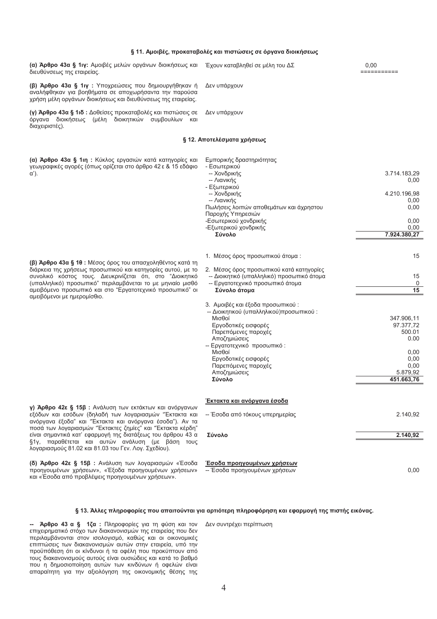## § 11. Αμοιβές, προκαταβολές και πιστώσεις σε όργανα διοικήσεως

| (α) Άρθρο 43α § 1ιγ: Αμοιβές μελών οργάνων διοικήσεως και Έχουν καταβληθεί σε μέλη του ΔΣ<br>διευθύνσεως της εταιρείας.                                                                                                                                                                                                                                                                                                |                                                                                                                                                                                                                                                                                                                                                                                                                                                         | 0,00<br>===========                                                                                                          |
|------------------------------------------------------------------------------------------------------------------------------------------------------------------------------------------------------------------------------------------------------------------------------------------------------------------------------------------------------------------------------------------------------------------------|---------------------------------------------------------------------------------------------------------------------------------------------------------------------------------------------------------------------------------------------------------------------------------------------------------------------------------------------------------------------------------------------------------------------------------------------------------|------------------------------------------------------------------------------------------------------------------------------|
| (β) Άρθρο 43α § 1ιγ : Υποχρεώσεις που δημιουργήθηκαν ή<br>αναλήφθηκαν για βοηθήματα σε αποχωρήσαντα την παρούσα<br>χρήση μέλη οργάνων διοικήσεως και διευθύνσεως της εταιρείας.                                                                                                                                                                                                                                        | Δεν υπάρχουν                                                                                                                                                                                                                                                                                                                                                                                                                                            |                                                                                                                              |
| (γ) Άρθρο 43α § 1ιδ : Δοθείσες προκαταβολές και πιστώσεις σε<br>όργανα διοικήσεως (μέλη διοικητικών συμβουλίων και<br>διαχειριστές).                                                                                                                                                                                                                                                                                   | Δεν υπάρχουν                                                                                                                                                                                                                                                                                                                                                                                                                                            |                                                                                                                              |
|                                                                                                                                                                                                                                                                                                                                                                                                                        | § 12. Αποτελέσματα χρήσεως                                                                                                                                                                                                                                                                                                                                                                                                                              |                                                                                                                              |
| (α) Άρθρο 43α § 1ιη : Κύκλος εργασιών κατά κατηγορίες και<br>γεωγραφικές αγορές (όπως ορίζεται στο άρθρο 42 ε & 15 εδάφιο<br>$\alpha'$ ).                                                                                                                                                                                                                                                                              | Εμπορικής δραστηριότητας<br>- Εσωτερικού<br>-- Χονδρικής<br>-- Λιανικής<br>- Εξωτερικού<br>-- Χονδρικής<br>-- Λιανικής<br>Πωλήσεις λοιπών αποθεμάτων και άχρηστου<br>Παροχής Υπηρεσιών<br>-Εσωτερικού χονδρικής<br>-Εξωτερικού χονδρικής<br>Σύνολο                                                                                                                                                                                                      | 3.714.183,29<br>0,00<br>4.210.196,98<br>0,00<br>0,00<br>0,00<br>0,00<br>7.924.380.27                                         |
| (β) Άρθρο 43α § 10 : Μέσος όρος του απασχοληθέντος κατά τη<br>διάρκεια της χρήσεως προσωπικού και κατηγορίες αυτού, με το<br>συνολικό κόστος τους. Διευκρινίζεται ότι, στο "Διοικητικό<br>(υπαλληλικό) προσωπικό" περιλαμβάνεται το με μηνιαίο μισθό<br>αμειβόμενο προσωπικό και στο "Εργατοτεχνικό προσωπικό" οι<br>αμειβόμενοι με ημερομίσθιο.                                                                       | 1. Μέσος όρος προσωπικού άτομα:<br>2. Μέσος όρος προσωπικού κατά κατηγορίες<br>-- Διοικητικό (υπαλληλικό) προσωπικό άτομα<br>-- Εργατοτεχνικό προσωπικό άτομα<br>Σύνολο άτομα<br>3. Αμοιβές και έξοδα προσωπικού:<br>-- Διοικητικού (υπαλληλικού)προσωπικού:<br>Μισθοί<br>Εργοδοτικές εισφορές<br>Παρεπόμενες παροχές<br>Αποζημιώσεις<br>-- Εργατοτεχνικό προσωπικό:<br>Μισθοί<br>Εργοδοτικές εισφορές<br>Παρεπόμενες παροχές<br>Αποζημιώσεις<br>Σύνολο | 15<br>15<br>$\mathbf 0$<br>15<br>347.906,11<br>97.377,72<br>500.01<br>0.00<br>0,00<br>0,00<br>0,00<br>5.879,92<br>451.663.76 |
| γ) Άρθρο 42ε § 15β : Ανάλυση των εκτάκτων και ανόργανων<br>εξόδων και εσόδων (δηλαδή των λογαριασμών "Εκτακτα και<br>ανόργανα έξοδα" και "Εκτακτα και ανόργανα έσοδα"). Αν τα<br>ποσά των λογαριασμών "Έκτακτες ζημίες" και "Έκτακτα κέρδη"<br>είναι σημαντικά κατ' εφαρμογή της διατάξεως του άρθρου 43 α<br>§1γ, παραθέτεται και αυτών ανάλυση (με βάση τους<br>λογαριασμούς 81.02 και 81.03 του Γεν. Λογ. Σχεδίου). | Έκτακτα και ανόργανα έσοδα<br>-- Έσοδα από τόκους υπερημερίας<br>Σύνολο                                                                                                                                                                                                                                                                                                                                                                                 | 2.140,92<br>2.140,92                                                                                                         |
| (δ) Άρθρο 42ε § 15β : Ανάλυση των λογαριασμών «Έσοδα<br>προηγουμένων χρήσεων», «Έξοδα προηγουμένων χρήσεων»<br>και «Έσοδα από προβλέψεις προηγουμένων χρήσεων».                                                                                                                                                                                                                                                        | Έσοδα προηγουμένων χρήσεων<br>-- Έσοδα προηγουμένων χρήσεων                                                                                                                                                                                                                                                                                                                                                                                             | 0,00                                                                                                                         |

## § 13. Άλλες πληροφορίες που απαιτούνται για αρτιότερη πληροφόρηση και εφαρμογή της πιστής εικόνας.

-- Άρθρο 43 α § 1ζα : Πληροφορίες για τη φύση και τον Δεν συντρέχει περίπτωση<br>επιχειρηματικό στόχο των διακανονισμών της εταιρείας που δεν<br>περιλαμβάνονται στον ισολογισμό, καθώς και οι οικονομικές επιπτώσεις των διακανονισμών αυτών στην εταιρεία, υπό την τηπιώσεις των σιακανοπορών αυτών στην εταιρεία, στο την<br>προϋπόθεση ότι οι κίνδυνοι ή τα οφέλη που προκύπτουν από<br>τους διακανονισμούς αυτούς είναι ουσιώδεις και κατά το βαθμό που η δημοσιοποίηση αυτών των κινδύνων ή οφελών είναι απαραίτητη για την αξιολόγηση της οικονομικής θέσης της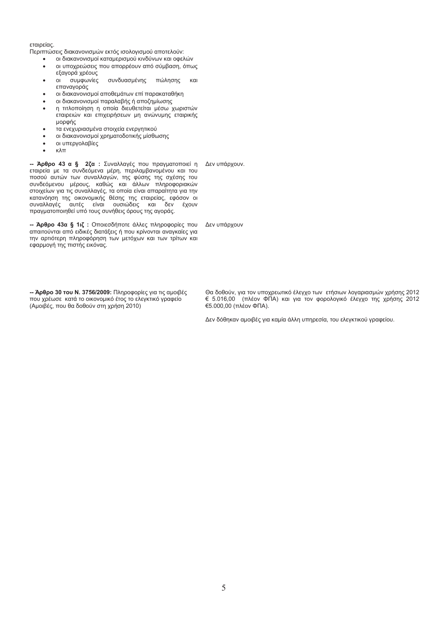#### εταιρείας.

Περιπτώσεις διακανονισμών εκτός ισολογισμού αποτελούν:

- οι διακανονισμοί καταμερισμού κινδύνων και οφελών
	- οι υποχρεώσεις που απορρέουν από σύμβαση, όπως  $\bullet$ εξαγορά χρέους
	- συνδυασμένης  $O<sub>1</sub>$ συμφωνίες πώλησης και επαναγοράς
	- οι διακανονισμοί αποθεμάτων επί παρακαταθήκη
	- οι διακανονισμοί παραλαβής ή αποζημίωσης
	- η τιτλοποίηση η οποία διευθετείται μέσω χωριστών εταιρειών και επιχειρήσεων μη ανώνυμης εταιρικής μορφής
	- τα ενεχυριασμένα στοιχεία ενεργητικού
	- οι διακανονισμοί χρηματοδοτικής μίσθωσης
	- οι υπεργολαβίες  $\bullet$
	- кλπ

- Άρθρο 43 α § 2ζα : Συναλλαγές που πραγματοποιεί η εταιρεία με τα συνδεόμενα μέρη, περιλαμβανομένου και του ποσού αυτών των συναλλαγών, της φύσης της σχέσης του<br>συνδεόμενου μέρους, καθώς και άλλων πληροφοριακών<br>στοιχείων για τις συναλλαγές, τα οποία είναι απαραίτητα για την<br>κατανόηση της οικονομικής θέσης της εταιρείας, εφόσον συναλλαγές αυτές είναι ουσιώδεις και δεν έχουν πραγματοποιηθεί υπό τους συνήθεις όρους της αγοράς.

- Άρθρο 43α § 1ιζ : Οποιεσδήποτε άλλες πληροφορίες που Δεν υπάρχουν απαιτούνται από ειδικές διατάξεις ή που κρίνονται αναγκαίες για την αρτιότερη πληροφόρηση των μετόχων και των τρίτων και εφαρμογή της πιστής εικόνας.

- Άρθρο 30 του Ν. 3756/2009: Πληροφορίες για τις αμοιβές που χρέωσε κατά το οικονομικό έτος το ελεγκτικό γραφείο (Αμοιβές, που θα δοθούν στη χρήση 2010)

Θα δοθούν, για τον υποχρεωτικό έλεγχο των ετήσιων λογαριασμών χρήσης 2012 € 5.016,00 (πλέον ΦΠΑ) και για τον φορολογικό έλεγχο της χρήσης 2012  $€5.000,00$  (πλέον ΦΠΑ).

Δεν δόθηκαν αμοιβές για καμία άλλη υπηρεσία, του ελεγκτικού γραφείου.

Δεν υπάρχουν.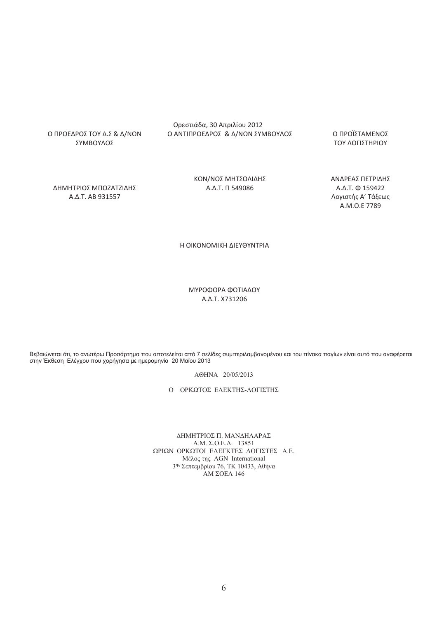Ο ΠΡΟΕΔΡΟΣ ΤΟΥ Δ.Σ & Δ/ΝΩΝ ΣΥΜΒΟΥΛΟΣ

Ορεστιάδα, 30 Απριλίου 2012 Ο ΑΝΤΙΠΡΟΕΔΡΟΣ & Δ/ΝΩΝ ΣΥΜΒΟΥΛΟΣ

Ο ΠΡΟΪΣΤΑΜΕΝΟΣ ΤΟΥ ΛΟΓΙΣΤΗΡΙΟΥ

ΔΗΜΗΤΡΙΟΣ ΜΠΟΖΑΤΖΙΔΗΣ Α.Δ.Τ. AB 931557

ΚΩΝ/ΝΟΣ ΜΗΤΣΟΛΙΔΗΣ А. . Т. П 549086

ΑΝΔΡΕΑΣ ΠΕΤΡΙΔΗΣ A.Δ.T. Φ 159422 Λογιστής Α' Τάξεως A.M.O.E 7789

Η ΟΙΚΟΝΟΜΙΚΗ ΔΙΕΥΘΥΝΤΡΙΑ

ΜΥΡΟΦΟΡΑ ΦΩΤΙΑΔΟΥ A.Δ.T. X731206

Βεβαιώνεται ότι, το ανωτέρω Προσάρτημα που αποτελείται από 7 σελίδες συμπεριλαμβανομένου και του πίνακα παγίων είναι αυτό που αναφέρεται στην Έκθεση Ελέγχου που χορήγησα με ημερομηνία 20 Μαΐου 2013

A@HNA 20/05/2013

Ο ΟΡΚΩΤΟΣ ΕΛΕΚΤΗΣ-ΛΟΓΙΣΤΗΣ

ΔΗΜΗΤΡΙΟΣ Π. ΜΑΝΔΗΛΑΡΑΣ A.M. Σ.Ο.Ε.Λ. 13851 ΩΡΙΩΝ ΟΡΚΩΤΟΙ ΕΛΕΓΚΤΕΣ ΛΟΓΙΣΤΕΣ Α.Ε. Μέλος της AGN International 3ης Σεπτεμβρίου 76, ΤΚ 10433, Αθήνα  $AM$  ΣΟΕΛ 146